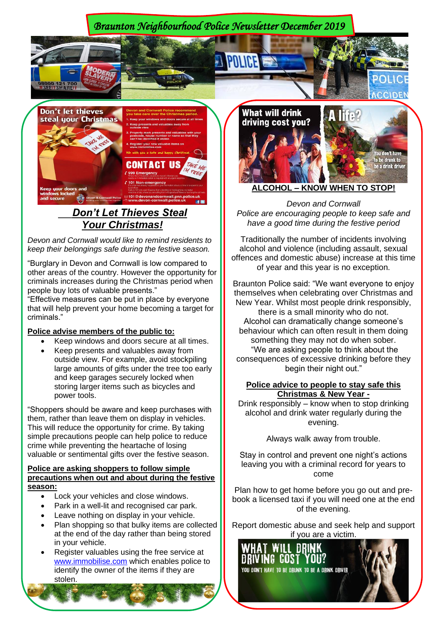*Braunton Neighbourhood Police Newsletter December 2019* 



 *Don't Let Thieves Steal Your Christmas!*

*Devon and Cornwall would like to remind residents to keep their belongings safe during the festive season.*

"Burglary in Devon and Cornwall is low compared to other areas of the country. However the opportunity for criminals increases during the Christmas period when people buy lots of valuable presents."

"Effective measures can be put in place by everyone that will help prevent your home becoming a target for criminals."

## **Police advise members of the public to:**

- Keep windows and doors secure at all times.
- Keep presents and valuables away from outside view. For example, avoid stockpiling large amounts of gifts under the tree too early and keep garages securely locked when storing larger items such as bicycles and power tools.

"Shoppers should be aware and keep purchases with them, rather than leave them on display in vehicles. This will reduce the opportunity for crime. By taking simple precautions people can help police to reduce crime while preventing the heartache of losing valuable or sentimental gifts over the festive season.

## **Police are asking shoppers to follow simple precautions when out and about during the festive season:**

- Lock your vehicles and close windows.
- Park in a well-lit and recognised car park.
- Leave nothing on display in your vehicle.
- Plan shopping so that bulky items are collected at the end of the day rather than being stored in your vehicle.
- Register valuables using the free service at [www.immobilise.com](http://www.immobilise.com/) which enables police to identify the owner of the items if they are stolen.



*Devon and Cornwall Police are encouraging people to keep safe and have a good time during the festive period*

Traditionally the number of incidents involving alcohol and violence (including assault, sexual offences and domestic abuse) increase at this time of year and this year is no exception.

Braunton Police said: "We want everyone to enjoy themselves when celebrating over Christmas and New Year. Whilst most people drink responsibly, there is a small minority who do not. Alcohol can dramatically change someone's behaviour which can often result in them doing something they may not do when sober. "We are asking people to think about the consequences of excessive drinking before they begin their night out."

## **Police advice to people to stay safe this Christmas & New Year -**

Drink responsibly – know when to stop drinking alcohol and drink water regularly during the evening.

Always walk away from trouble.

Stay in control and prevent one night's actions leaving you with a criminal record for years to come

Plan how to get home before you go out and prebook a licensed taxi if you will need one at the end of the evening.

Report domestic abuse and seek help and support if you are a victim.